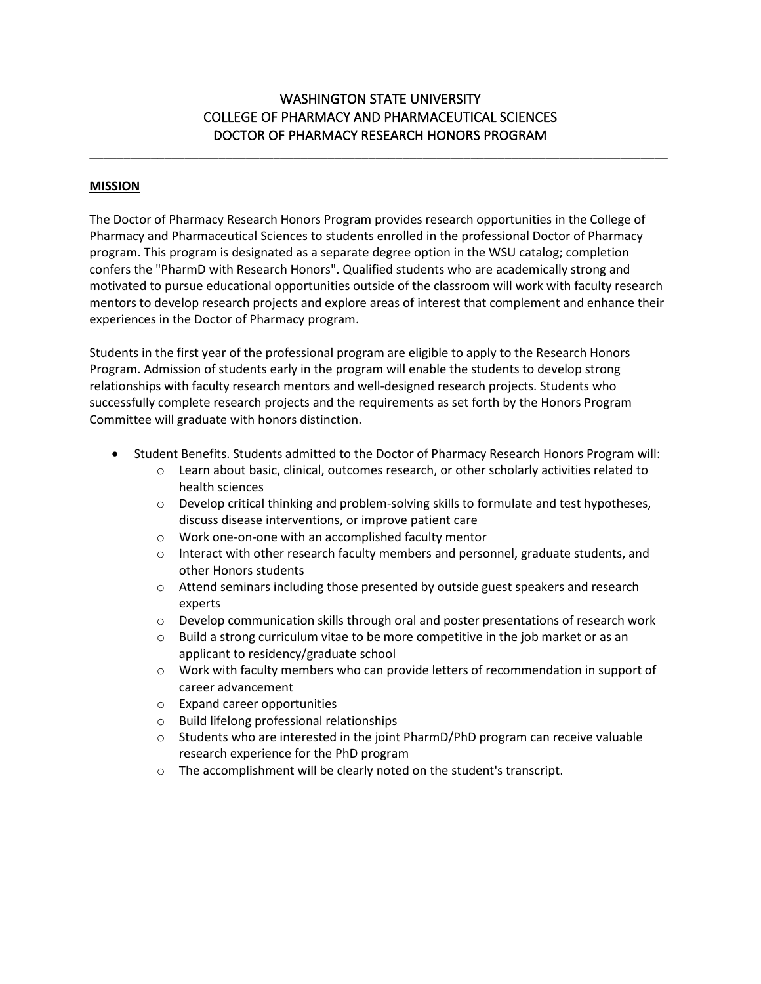# WASHINGTON STATE UNIVERSITY COLLEGE OF PHARMACY AND PHARMACEUTICAL SCIENCES DOCTOR OF PHARMACY RESEARCH HONORS PROGRAM

\_\_\_\_\_\_\_\_\_\_\_\_\_\_\_\_\_\_\_\_\_\_\_\_\_\_\_\_\_\_\_\_\_\_\_\_\_\_\_\_\_\_\_\_\_\_\_\_\_\_\_\_\_\_\_\_\_\_\_\_\_\_\_\_\_\_\_\_\_\_\_\_\_\_\_\_\_\_\_\_\_\_\_\_\_

# **MISSION**

The Doctor of Pharmacy Research Honors Program provides research opportunities in the College of Pharmacy and Pharmaceutical Sciences to students enrolled in the professional Doctor of Pharmacy program. This program is designated as a separate degree option in the WSU catalog; completion confers the "PharmD with Research Honors". Qualified students who are academically strong and motivated to pursue educational opportunities outside of the classroom will work with faculty research mentors to develop research projects and explore areas of interest that complement and enhance their experiences in the Doctor of Pharmacy program.

Students in the first year of the professional program are eligible to apply to the Research Honors Program. Admission of students early in the program will enable the students to develop strong relationships with faculty research mentors and well-designed research projects. Students who successfully complete research projects and the requirements as set forth by the Honors Program Committee will graduate with honors distinction.

- Student Benefits. Students admitted to the Doctor of Pharmacy Research Honors Program will:
	- o Learn about basic, clinical, outcomes research, or other scholarly activities related to health sciences
	- $\circ$  Develop critical thinking and problem-solving skills to formulate and test hypotheses, discuss disease interventions, or improve patient care
	- o Work one-on-one with an accomplished faculty mentor
	- $\circ$  Interact with other research faculty members and personnel, graduate students, and other Honors students
	- o Attend seminars including those presented by outside guest speakers and research experts
	- $\circ$  Develop communication skills through oral and poster presentations of research work
	- $\circ$  Build a strong curriculum vitae to be more competitive in the job market or as an applicant to residency/graduate school
	- o Work with faculty members who can provide letters of recommendation in support of career advancement
	- o Expand career opportunities
	- o Build lifelong professional relationships
	- $\circ$  Students who are interested in the joint PharmD/PhD program can receive valuable research experience for the PhD program
	- o The accomplishment will be clearly noted on the student's transcript.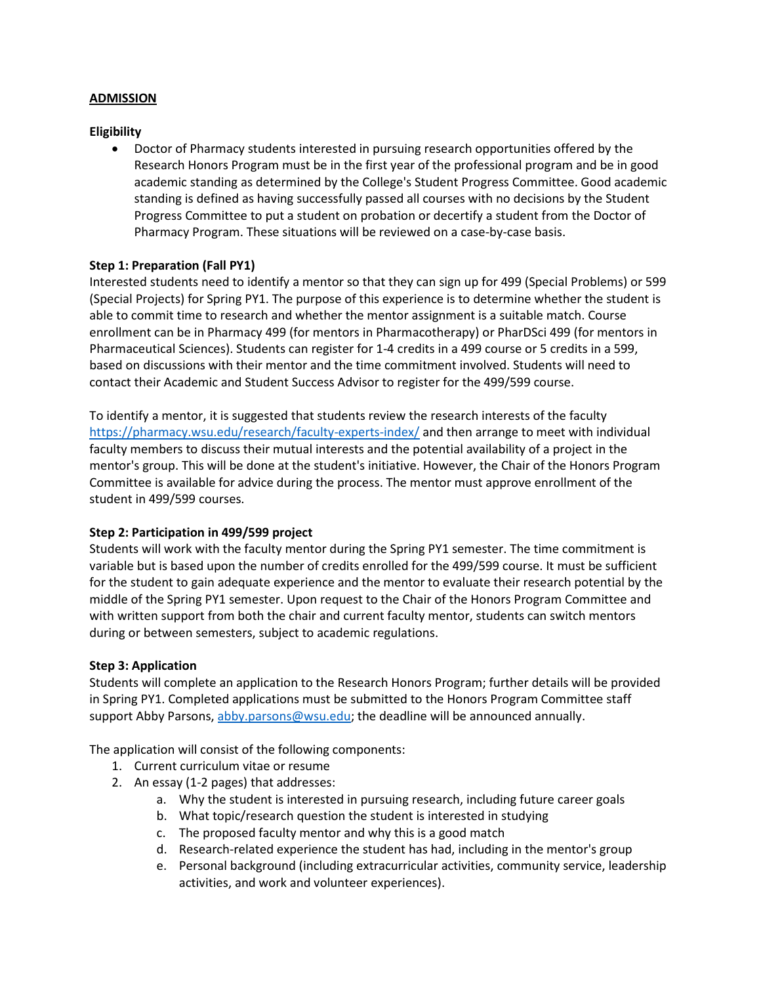# **ADMISSION**

## **Eligibility**

• Doctor of Pharmacy students interested in pursuing research opportunities offered by the Research Honors Program must be in the first year of the professional program and be in good academic standing as determined by the College's Student Progress Committee. Good academic standing is defined as having successfully passed all courses with no decisions by the Student Progress Committee to put a student on probation or decertify a student from the Doctor of Pharmacy Program. These situations will be reviewed on a case-by-case basis.

# **Step 1: Preparation (Fall PY1)**

Interested students need to identify a mentor so that they can sign up for 499 (Special Problems) or 599 (Special Projects) for Spring PY1. The purpose of this experience is to determine whether the student is able to commit time to research and whether the mentor assignment is a suitable match. Course enrollment can be in Pharmacy 499 (for mentors in Pharmacotherapy) or PharDSci 499 (for mentors in Pharmaceutical Sciences). Students can register for 1-4 credits in a 499 course or 5 credits in a 599, based on discussions with their mentor and the time commitment involved. Students will need to contact their Academic and Student Success Advisor to register for the 499/599 course.

To identify a mentor, it is suggested that students review the research interests of the faculty <https://pharmacy.wsu.edu/research/faculty-experts-index/> and then arrange to meet with individual faculty members to discuss their mutual interests and the potential availability of a project in the mentor's group. This will be done at the student's initiative. However, the Chair of the Honors Program Committee is available for advice during the process. The mentor must approve enrollment of the student in 499/599 courses.

# **Step 2: Participation in 499/599 project**

Students will work with the faculty mentor during the Spring PY1 semester. The time commitment is variable but is based upon the number of credits enrolled for the 499/599 course. It must be sufficient for the student to gain adequate experience and the mentor to evaluate their research potential by the middle of the Spring PY1 semester. Upon request to the Chair of the Honors Program Committee and with written support from both the chair and current faculty mentor, students can switch mentors during or between semesters, subject to academic regulations.

#### **Step 3: Application**

Students will complete an application to the Research Honors Program; further details will be provided in Spring PY1. Completed applications must be submitted to the Honors Program Committee staff support Abby Parsons, [abby.parsons@wsu.edu;](mailto:abby.parsons@wsu.edu) the deadline will be announced annually.

The application will consist of the following components:

- 1. Current curriculum vitae or resume
- 2. An essay (1-2 pages) that addresses:
	- a. Why the student is interested in pursuing research, including future career goals
	- b. What topic/research question the student is interested in studying
	- c. The proposed faculty mentor and why this is a good match
	- d. Research-related experience the student has had, including in the mentor's group
	- e. Personal background (including extracurricular activities, community service, leadership activities, and work and volunteer experiences).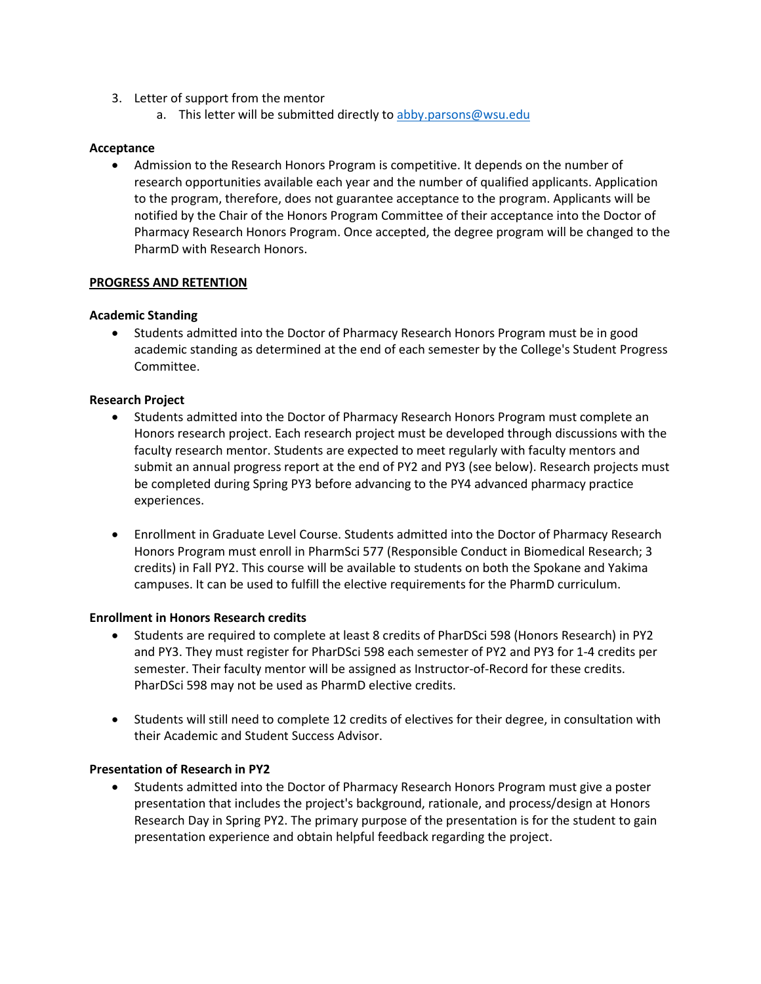- 3. Letter of support from the mentor
	- a. This letter will be submitted directly to [abby.parsons@wsu.edu](mailto:abby.parsons@wsu.edu)

# **Acceptance**

• Admission to the Research Honors Program is competitive. It depends on the number of research opportunities available each year and the number of qualified applicants. Application to the program, therefore, does not guarantee acceptance to the program. Applicants will be notified by the Chair of the Honors Program Committee of their acceptance into the Doctor of Pharmacy Research Honors Program. Once accepted, the degree program will be changed to the PharmD with Research Honors.

# **PROGRESS AND RETENTION**

## **Academic Standing**

• Students admitted into the Doctor of Pharmacy Research Honors Program must be in good academic standing as determined at the end of each semester by the College's Student Progress Committee.

## **Research Project**

- Students admitted into the Doctor of Pharmacy Research Honors Program must complete an Honors research project. Each research project must be developed through discussions with the faculty research mentor. Students are expected to meet regularly with faculty mentors and submit an annual progress report at the end of PY2 and PY3 (see below). Research projects must be completed during Spring PY3 before advancing to the PY4 advanced pharmacy practice experiences.
- Enrollment in Graduate Level Course. Students admitted into the Doctor of Pharmacy Research Honors Program must enroll in PharmSci 577 (Responsible Conduct in Biomedical Research; 3 credits) in Fall PY2. This course will be available to students on both the Spokane and Yakima campuses. It can be used to fulfill the elective requirements for the PharmD curriculum.

#### **Enrollment in Honors Research credits**

- Students are required to complete at least 8 credits of PharDSci 598 (Honors Research) in PY2 and PY3. They must register for PharDSci 598 each semester of PY2 and PY3 for 1-4 credits per semester. Their faculty mentor will be assigned as Instructor-of-Record for these credits. PharDSci 598 may not be used as PharmD elective credits.
- Students will still need to complete 12 credits of electives for their degree, in consultation with their Academic and Student Success Advisor.

#### **Presentation of Research in PY2**

• Students admitted into the Doctor of Pharmacy Research Honors Program must give a poster presentation that includes the project's background, rationale, and process/design at Honors Research Day in Spring PY2. The primary purpose of the presentation is for the student to gain presentation experience and obtain helpful feedback regarding the project.